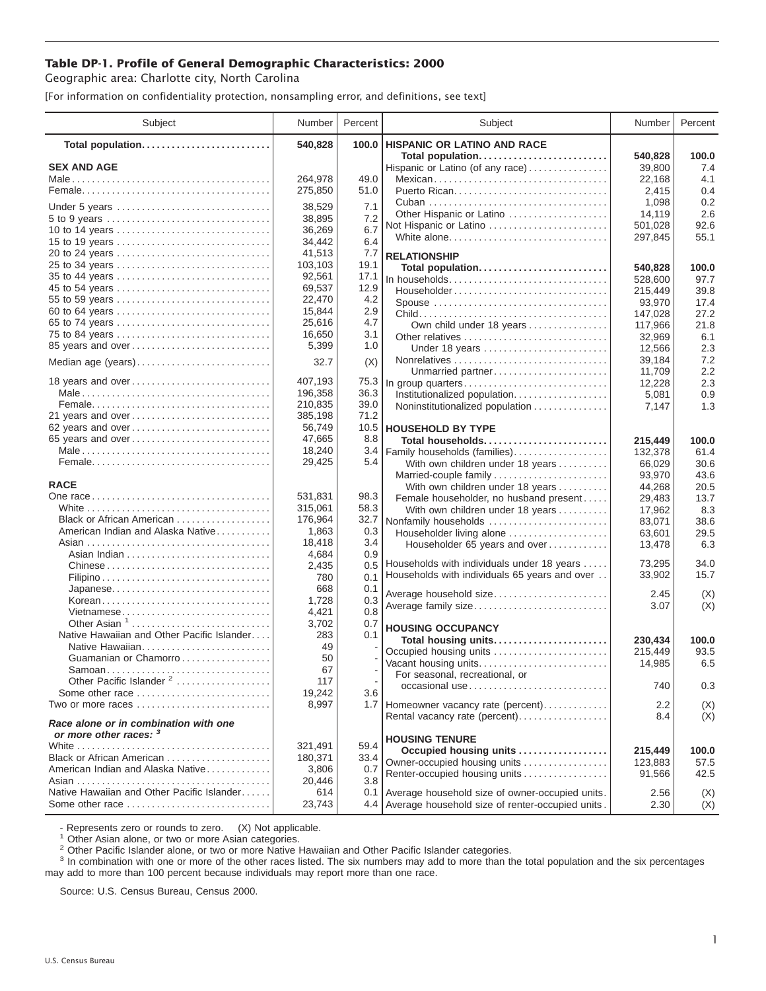## **Table DP-1. Profile of General Demographic Characteristics: 2000**

Geographic area: Charlotte city, North Carolina

[For information on confidentiality protection, nonsampling error, and definitions, see text]

| Subject                                                                    | Number        | Percent    | Subject                                                                         | Number          | Percent    |
|----------------------------------------------------------------------------|---------------|------------|---------------------------------------------------------------------------------|-----------------|------------|
| Total population                                                           | 540,828       | 100.0      | <b>HISPANIC OR LATINO AND RACE</b>                                              |                 |            |
|                                                                            |               |            | Total population                                                                | 540,828         | 100.0      |
| <b>SEX AND AGE</b>                                                         | 264,978       | 49.0       | Hispanic or Latino (of any race)                                                | 39,800          | 7.4        |
|                                                                            | 275,850       | 51.0       | Mexican                                                                         | 22,168<br>2,415 | 4.1<br>0.4 |
|                                                                            |               |            |                                                                                 | 1,098           | 0.2        |
| Under 5 years                                                              | 38,529        | 7.1        | Other Hispanic or Latino                                                        | 14,119          | 2.6        |
| 5 to 9 years                                                               | 38,895        | 7.2        | Not Hispanic or Latino                                                          | 501,028         | 92.6       |
| 10 to 14 years                                                             | 36,269        | 6.7        | White alone                                                                     | 297,845         | 55.1       |
| 15 to 19 years                                                             | 34,442        | 6.4        |                                                                                 |                 |            |
|                                                                            | 41,513        | 7.7        | <b>RELATIONSHIP</b>                                                             |                 |            |
| 25 to 34 years                                                             | 103,103       | 19.1       | Total population                                                                | 540,828         | 100.0      |
|                                                                            | 92,561        | 17.1       | In households                                                                   | 528,600         | 97.7       |
| 45 to 54 years                                                             | 69,537        | 12.9       | $Householder \dots \dots \dots \dots \dots \dots \dots \dots \dots \dots \dots$ | 215,449         | 39.8       |
| 55 to 59 years                                                             | 22,470        | 4.2        | Spouse                                                                          | 93,970          | 17.4       |
| 60 to 64 years                                                             | 15,844        | 2.9        |                                                                                 | 147,028         | 27.2       |
| 65 to 74 years                                                             | 25,616        | 4.7        | Own child under 18 years                                                        | 117,966         | 21.8       |
| 75 to 84 years                                                             | 16,650        | 3.1        | Other relatives                                                                 | 32,969          | 6.1        |
| 85 years and over                                                          | 5,399         | 1.0        | Under 18 years                                                                  | 12,566          | 2.3        |
| Median age (years)                                                         | 32.7          | (X)        |                                                                                 | 39,184          | 7.2        |
|                                                                            |               |            | Unmarried partner                                                               | 11,709          | 2.2        |
| 18 years and over                                                          | 407,193       | 75.3       | In group quarters                                                               | 12,228          | 2.3        |
|                                                                            | 196,358       | 36.3       | Institutionalized population                                                    | 5,081           | 0.9        |
|                                                                            | 210,835       | 39.0       | Noninstitutionalized population                                                 | 7,147           | 1.3        |
| 21 years and over                                                          | 385,198       | 71.2       |                                                                                 |                 |            |
| 62 years and over                                                          | 56,749        | 10.5       | <b>HOUSEHOLD BY TYPE</b>                                                        |                 |            |
| 65 years and over                                                          | 47,665        | 8.8        | Total households                                                                | 215,449         | 100.0      |
|                                                                            | 18,240        | 3.4        | Family households (families)                                                    | 132,378         | 61.4       |
|                                                                            | 29,425        | 5.4        | With own children under 18 years                                                | 66,029          | 30.6       |
|                                                                            |               |            | Married-couple family                                                           | 93,970          | 43.6       |
| <b>RACE</b>                                                                |               |            | With own children under 18 years                                                | 44,268          | 20.5       |
|                                                                            | 531,831       | 98.3       | Female householder, no husband present                                          | 29,483          | 13.7       |
|                                                                            | 315,061       | 58.3       | With own children under 18 years                                                | 17,962          | 8.3        |
| Black or African American                                                  | 176,964       | 32.7       | Nonfamily households                                                            | 83,071          | 38.6       |
| American Indian and Alaska Native                                          | 1,863         | 0.3        | Householder living alone                                                        | 63,601          | 29.5       |
|                                                                            | 18,418        | 3.4        | Householder 65 years and over                                                   | 13,478          | 6.3        |
|                                                                            | 4,684         | 0.9        |                                                                                 |                 |            |
| Chinese                                                                    | 2,435         | 0.5        | Households with individuals under 18 years                                      | 73,295          | 34.0       |
|                                                                            | 780           | 0.1        | Households with individuals 65 years and over                                   | 33,902          | 15.7       |
| Japanese                                                                   | 668           | 0.1        | Average household size                                                          | 2.45            | (X)        |
| Korean                                                                     | 1,728         | 0.3        | Average family size                                                             | 3.07            | (X)        |
| Vietnamese                                                                 | 4,421         | 0.8        |                                                                                 |                 |            |
| Other Asian <sup>1</sup>                                                   | 3,702         | 0.7        | <b>HOUSING OCCUPANCY</b>                                                        |                 |            |
| Native Hawaiian and Other Pacific Islander                                 | 283           | 0.1        | Total housing units                                                             | 230,434         | 100.0      |
| Native Hawaiian                                                            | 49            |            | Occupied housing units                                                          | 215,449         | 93.5       |
| Guamanian or Chamorro                                                      | 50            |            | Vacant housing units                                                            | 14,985          | 6.5        |
|                                                                            | 67            |            | For seasonal, recreational, or                                                  |                 |            |
| Other Pacific Islander <sup>2</sup>                                        | 117           |            | occasional use                                                                  | 740             | 0.3        |
| Some other race                                                            | 19,242        | 3.6        |                                                                                 |                 |            |
| Two or more races $\ldots, \ldots, \ldots, \ldots, \ldots, \ldots, \ldots$ | 8,997         |            | 1.7 Homeowner vacancy rate (percent)                                            | 2.2             | (X)        |
| Race alone or in combination with one<br>or more other races: 3            |               |            | Rental vacancy rate (percent)                                                   | 8.4             | (X)        |
|                                                                            | 321,491       | 59.4       | <b>HOUSING TENURE</b>                                                           |                 |            |
| Black or African American                                                  | 180,371       | 33.4       | Occupied housing units                                                          | 215,449         | 100.0      |
| American Indian and Alaska Native                                          | 3,806         | 0.7        | Owner-occupied housing units                                                    | 123,883         | 57.5       |
|                                                                            |               |            | Renter-occupied housing units                                                   | 91,566          | 42.5       |
| Native Hawaiian and Other Pacific Islander                                 | 20,446<br>614 | 3.8<br>0.1 | Average household size of owner-occupied units.                                 |                 |            |
|                                                                            |               |            |                                                                                 | 2.56            | (X)        |
| Some other race                                                            | 23,743        |            | 4.4 Average household size of renter-occupied units.                            | 2.30            | (X)        |

- Represents zero or rounds to zero. (X) Not applicable.<br><sup>1</sup> Other Asian alone, or two or more Asian categories.

<sup>2</sup> Other Pacific Islander alone, or two or more Native Hawaiian and Other Pacific Islander categories.<br><sup>3</sup> In combination with one or more of the other races listed. The six numbers may add to more than the total populati may add to more than 100 percent because individuals may report more than one race.

Source: U.S. Census Bureau, Census 2000.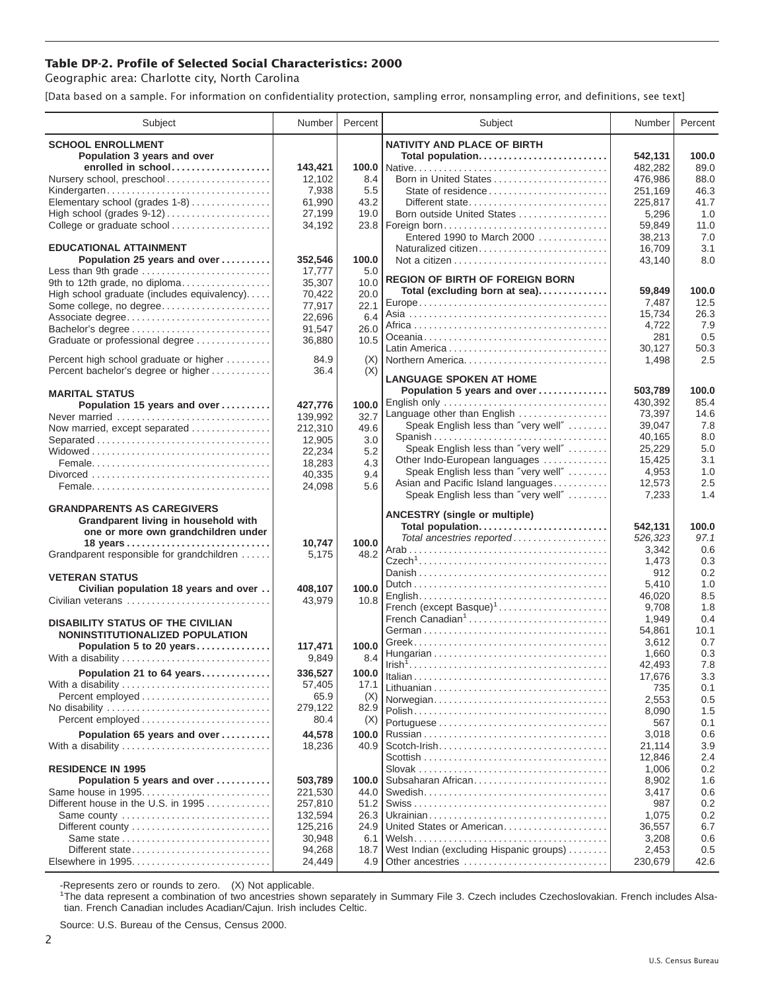## **Table DP-2. Profile of Selected Social Characteristics: 2000**

Geographic area: Charlotte city, North Carolina

[Data based on a sample. For information on confidentiality protection, sampling error, nonsampling error, and definitions, see text]

| Subject                                                                     | Number         | Percent     | Subject                                                              | Number           | Percent     |
|-----------------------------------------------------------------------------|----------------|-------------|----------------------------------------------------------------------|------------------|-------------|
| <b>SCHOOL ENROLLMENT</b>                                                    |                |             | <b>NATIVITY AND PLACE OF BIRTH</b>                                   |                  |             |
| Population 3 years and over                                                 |                |             | Total population                                                     | 542,131          | 100.0       |
| enrolled in school                                                          | 143,421        | 100.0       |                                                                      | 482,282          | 89.0        |
| Nursery school, preschool                                                   | 12,102         | 8.4         | Born in United States                                                | 476,986          | 88.0        |
| Kindergarten                                                                | 7,938          | 5.5         | State of residence                                                   | 251,169          | 46.3        |
| Elementary school (grades 1-8)                                              | 61,990         | 43.2        | Different state                                                      | 225,817          | 41.7        |
| High school (grades $9-12$ )                                                | 27,199         | 19.0        | Born outside United States                                           | 5,296            | 1.0         |
| College or graduate school                                                  | 34,192         | 23.8        |                                                                      | 59,849           | 11.0        |
|                                                                             |                |             | Entered 1990 to March 2000                                           | 38,213           | 7.0         |
| <b>EDUCATIONAL ATTAINMENT</b>                                               |                |             | Naturalized citizen                                                  | 16,709           | 3.1         |
| Population 25 years and over                                                | 352,546        | 100.0       |                                                                      | 43,140           | 8.0         |
| Less than 9th grade                                                         | 17,777         | 5.0         | <b>REGION OF BIRTH OF FOREIGN BORN</b>                               |                  |             |
| 9th to 12th grade, no diploma                                               | 35,307         | 10.0        | Total (excluding born at sea)                                        | 59,849           | 100.0       |
| High school graduate (includes equivalency)                                 | 70,422         | 20.0        |                                                                      | 7,487            | 12.5        |
| Some college, no degree                                                     | 77,917         | 22.1        |                                                                      | 15,734           | 26.3        |
| Associate degree                                                            | 22,696         | 6.4         |                                                                      | 4,722            | 7.9         |
| Bachelor's degree                                                           | 91,547         | 26.0        |                                                                      | 281              | 0.5         |
| Graduate or professional degree                                             | 36,880         | 10.5        |                                                                      | 30,127           | 50.3        |
| Percent high school graduate or higher                                      | 84.9           | (X)         | Northern America                                                     | 1,498            | 2.5         |
| Percent bachelor's degree or higher                                         | 36.4           | (X)         |                                                                      |                  |             |
|                                                                             |                |             | <b>LANGUAGE SPOKEN AT HOME</b>                                       |                  |             |
| <b>MARITAL STATUS</b>                                                       |                |             | Population 5 years and over                                          | 503,789          | 100.0       |
| Population 15 years and over                                                | 427,776        | 100.0       | English only                                                         | 430,392          | 85.4        |
| Never married                                                               | 139,992        | 32.7        | Language other than English                                          | 73,397           | 14.6        |
| Now married, except separated                                               | 212,310        | 49.6        | Speak English less than "very well"                                  | 39,047           | 7.8         |
| Separated                                                                   | 12,905         | 3.0         | Spanish                                                              | 40.165           | 8.0         |
|                                                                             | 22,234         | 5.2         | Speak English less than "very well"<br>Other Indo-European languages | 25,229<br>15,425 | 5.0<br>3.1  |
|                                                                             | 18,283         | 4.3         | Speak English less than "very well"                                  | 4,953            | 1.0         |
|                                                                             | 40,335         | 9.4         | Asian and Pacific Island languages                                   | 12,573           | 2.5         |
|                                                                             | 24,098         | 5.6         | Speak English less than "very well"                                  | 7,233            | 1.4         |
| <b>GRANDPARENTS AS CAREGIVERS</b>                                           |                |             |                                                                      |                  |             |
| Grandparent living in household with                                        |                |             | <b>ANCESTRY</b> (single or multiple)                                 |                  |             |
| one or more own grandchildren under                                         |                |             | Total population                                                     | 542,131          | 100.0       |
|                                                                             | 10,747         | 100.0       | Total ancestries reported                                            | 526,323<br>3,342 | 97.1<br>0.6 |
| Grandparent responsible for grandchildren                                   | 5,175          | 48.2        |                                                                      | 1,473            | 0.3         |
|                                                                             |                |             |                                                                      | 912              | 0.2         |
| <b>VETERAN STATUS</b>                                                       |                |             |                                                                      | 5,410            | 1.0         |
| Civilian population 18 years and over                                       | 408,107        | 100.0       |                                                                      | 46,020           | 8.5         |
| Civilian veterans                                                           | 43,979         | 10.8        | French (except Basque) <sup>1</sup>                                  | 9,708            | 1.8         |
|                                                                             |                |             | French Canadian <sup>1</sup>                                         | 1,949            | 0.4         |
| <b>DISABILITY STATUS OF THE CIVILIAN</b><br>NONINSTITUTIONALIZED POPULATION |                |             |                                                                      | 54,861           | 10.1        |
| Population 5 to 20 years                                                    | 117,471        | 100.0       |                                                                      | 3,612            | 0.7         |
| With a disability                                                           | 9,849          | 8.4         |                                                                      | 1,660            | 0.3         |
|                                                                             |                |             |                                                                      | 42.493           | 7.8         |
| Population 21 to 64 years                                                   | 336,527        | 100.0       |                                                                      | 17,676           | 3.3         |
| With a disability                                                           | 57,405<br>65.9 | 17.1        |                                                                      | 735              | 0.1         |
|                                                                             | 279,122        | (X)<br>82.9 | Norwegian                                                            | 2,553            | 0.5         |
| No disability<br>Percent employed                                           | 80.4           | (X)         |                                                                      | 8,090            | 1.5         |
|                                                                             |                |             |                                                                      | 567              | 0.1         |
| Population 65 years and over                                                | 44,578         | 100.0       |                                                                      | 3,018            | 0.6         |
| With a disability                                                           | 18,236         | 40.9        | Scotch-Irish                                                         | 21,114           | 3.9         |
| <b>RESIDENCE IN 1995</b>                                                    |                |             |                                                                      | 12,846<br>1,006  | 2.4<br>0.2  |
| Population 5 years and over                                                 | 503,789        | 100.0       | Subsaharan African                                                   | 8,902            | 1.6         |
| Same house in 1995                                                          | 221,530        | 44.0        |                                                                      | 3,417            | 0.6         |
| Different house in the U.S. in 1995                                         | 257,810        | 51.2        |                                                                      | 987              | 0.2         |
| Same county                                                                 | 132,594        | 26.3        |                                                                      | 1,075            | 0.2         |
|                                                                             | 125,216        | 24.9        | United States or American                                            | 36,557           | 6.7         |
|                                                                             | 30,948         | 6.1         |                                                                      | 3,208            | 0.6         |
| Different state                                                             | 94,268         | 18.7        | West Indian (excluding Hispanic groups)                              | 2,453            | 0.5         |
| Elsewhere in 1995                                                           | 24,449         | 4.9         | Other ancestries                                                     | 230,679          | 42.6        |
|                                                                             |                |             |                                                                      |                  |             |

-Represents zero or rounds to zero. (X) Not applicable. 1 The data represent a combination of two ancestries shown separately in Summary File 3. Czech includes Czechoslovakian. French includes Alsatian. French Canadian includes Acadian/Cajun. Irish includes Celtic.

Source: U.S. Bureau of the Census, Census 2000.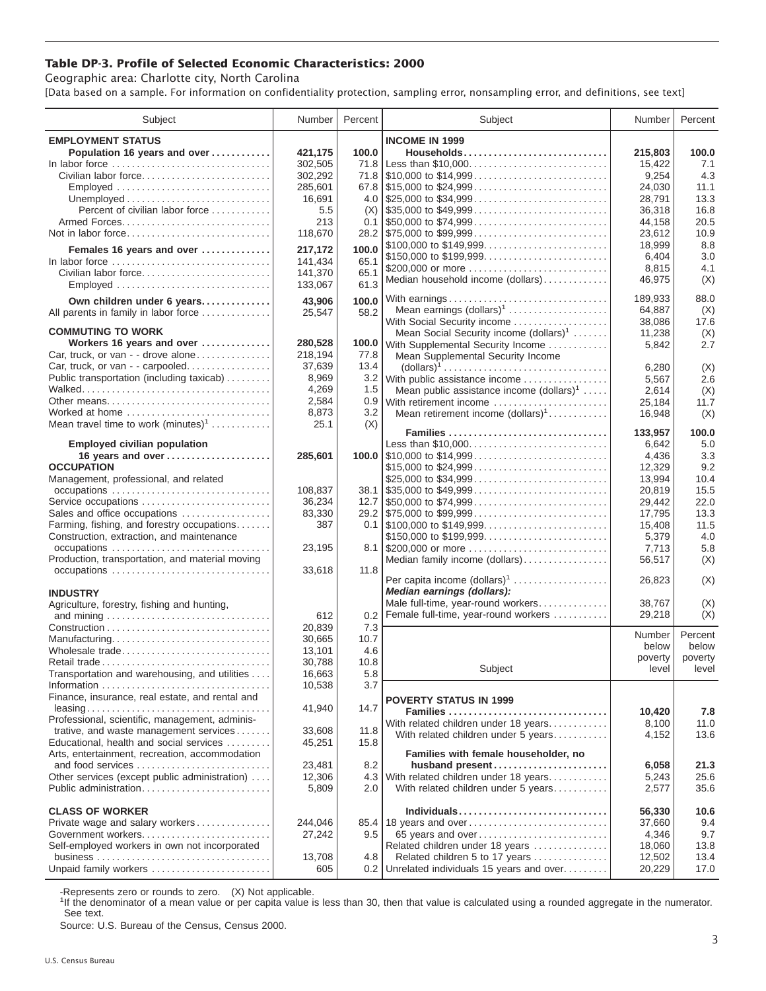## **Table DP-3. Profile of Selected Economic Characteristics: 2000**

Geographic area: Charlotte city, North Carolina

[Data based on a sample. For information on confidentiality protection, sampling error, nonsampling error, and definitions, see text]

| Subject                                                                                 | Number  | Percent | Subject                                                                                | Number  | Percent |
|-----------------------------------------------------------------------------------------|---------|---------|----------------------------------------------------------------------------------------|---------|---------|
| <b>EMPLOYMENT STATUS</b>                                                                |         |         | <b>INCOME IN 1999</b>                                                                  |         |         |
| Population 16 years and over                                                            | 421,175 | 100.0   | Households                                                                             | 215.803 | 100.0   |
| In labor force                                                                          | 302,505 | 71.8    | Less than \$10,000                                                                     | 15,422  | 7.1     |
| Civilian labor force                                                                    | 302,292 | 71.8    |                                                                                        | 9,254   | 4.3     |
|                                                                                         |         |         |                                                                                        |         |         |
|                                                                                         | 285,601 |         |                                                                                        | 24,030  | 11.1    |
|                                                                                         | 16.691  |         |                                                                                        | 28,791  | 13.3    |
| Percent of civilian labor force                                                         | 5.5     | (X)     | $\frac{1}{2}$ \$35,000 to \$49,999                                                     | 36,318  | 16.8    |
|                                                                                         | 213     | 0.1     |                                                                                        | 44,158  | 20.5    |
| Not in labor force                                                                      | 118,670 |         |                                                                                        | 23,612  | 10.9    |
|                                                                                         |         |         | $\frac{1}{2}100,000$ to \$149,999                                                      | 18,999  | 8.8     |
| Females 16 years and over                                                               | 217,172 | 100.0   | \$150,000 to \$199,999                                                                 | 6,404   | 3.0     |
| In labor force $\dots\dots\dots\dots\dots\dots\dots\dots\dots\dots\dots\dots\dots\dots$ | 141.434 | 65.1    | \$200,000 or more                                                                      | 8,815   | 4.1     |
| Civilian labor force                                                                    | 141,370 | 65.1    | Median household income (dollars)                                                      | 46,975  | (X)     |
| Employed                                                                                | 133,067 | 61.3    |                                                                                        |         |         |
| Own children under 6 years                                                              | 43,906  | 100.0   | With earnings                                                                          | 189,933 | 88.0    |
|                                                                                         |         | 58.2    | Mean earnings $(dollars)1$                                                             | 64,887  | (X)     |
| All parents in family in labor force                                                    | 25,547  |         | With Social Security income                                                            | 38,086  | 17.6    |
| <b>COMMUTING TO WORK</b>                                                                |         |         |                                                                                        |         |         |
| Workers 16 years and over                                                               | 280,528 |         | Mean Social Security income $(dollars)^1$                                              | 11,238  | (X)     |
|                                                                                         |         |         | 100.0 With Supplemental Security Income                                                | 5,842   | 2.7     |
| Car, truck, or van - - drove alone                                                      | 218,194 | 77.8    | Mean Supplemental Security Income                                                      |         |         |
| Car, truck, or van - - carpooled                                                        | 37,639  | 13.4    | $\text{(dollars)}^1 \dots \dots \dots \dots \dots \dots \dots \dots \dots \dots \dots$ | 6,280   | (X)     |
| Public transportation (including taxicab)                                               | 8,969   | 3.2     | With public assistance income                                                          | 5,567   | 2.6     |
|                                                                                         | 4,269   | 1.5     | Mean public assistance income $(dollars)1 \ldots$ .                                    | 2,614   | (X)     |
| Other means                                                                             | 2,584   | 0.9     | With retirement income                                                                 | 25,184  | 11.7    |
| Worked at home                                                                          | 8,873   | 3.2     | Mean retirement income $(dollars)1$                                                    | 16,948  | (X)     |
| Mean travel time to work $(minutes)^1$                                                  | 25.1    | (X)     |                                                                                        |         |         |
|                                                                                         |         |         | Families                                                                               | 133,957 | 100.0   |
| <b>Employed civilian population</b>                                                     |         |         | Less than \$10,000                                                                     | 6,642   | 5.0     |
| 16 years and over                                                                       | 285,601 |         | 100.0 $\mid$ \$10,000 to \$14,999                                                      | 4,436   | 3.3     |
| <b>OCCUPATION</b>                                                                       |         |         | \$15,000 to \$24,999                                                                   | 12,329  | 9.2     |
| Management, professional, and related                                                   |         |         | \$25,000 to \$34,999                                                                   | 13,994  | 10.4    |
| occupations                                                                             | 108,837 |         | $38.1$ \\ \$35,000 to \$49,999                                                         | 20,819  | 15.5    |
| Service occupations                                                                     | 36,234  |         |                                                                                        | 29,442  | 22.0    |
| Sales and office occupations                                                            | 83,330  |         |                                                                                        | 17,795  | 13.3    |
| Farming, fishing, and forestry occupations                                              | 387     |         |                                                                                        | 15,408  | 11.5    |
|                                                                                         |         |         |                                                                                        |         |         |
| Construction, extraction, and maintenance                                               |         |         |                                                                                        | 5,379   | 4.0     |
| occupations                                                                             | 23,195  |         | 8.1 \$200,000 or more                                                                  | 7,713   | 5.8     |
| Production, transportation, and material moving                                         |         |         | Median family income (dollars)                                                         | 56,517  | (X)     |
| occupations                                                                             | 33,618  | 11.8    |                                                                                        |         |         |
|                                                                                         |         |         | Per capita income $(dollars)1$                                                         | 26,823  | (X)     |
| <b>INDUSTRY</b>                                                                         |         |         | Median earnings (dollars):                                                             |         |         |
| Agriculture, forestry, fishing and hunting,                                             |         |         | Male full-time, year-round workers                                                     | 38,767  | (X)     |
|                                                                                         | 612     |         | 0.2   Female full-time, year-round workers                                             | 29,218  | (X)     |
|                                                                                         | 20,839  | 7.3     |                                                                                        | Number  | Percent |
| Manufacturing                                                                           | 30,665  | 10.7    |                                                                                        |         |         |
| Wholesale trade                                                                         | 13,101  | 4.6     |                                                                                        | below   | below   |
| Retail trade                                                                            | 30,788  | 10.8    |                                                                                        | poverty | poverty |
| Transportation and warehousing, and utilities                                           | 16,663  | 5.8     | Subject                                                                                | level   | level   |
|                                                                                         | 10,538  | 3.7     |                                                                                        |         |         |
| Finance, insurance, real estate, and rental and                                         |         |         |                                                                                        |         |         |
|                                                                                         | 41,940  | 14.7    | <b>POVERTY STATUS IN 1999</b>                                                          |         |         |
| Professional, scientific, management, adminis-                                          |         |         | Families                                                                               | 10,420  | 7.8     |
|                                                                                         | 33,608  |         | With related children under 18 years                                                   | 8,100   | 11.0    |
| trative, and waste management services                                                  |         | 11.8    | With related children under 5 years                                                    | 4,152   | 13.6    |
| Educational, health and social services                                                 | 45,251  | 15.8    |                                                                                        |         |         |
| Arts, entertainment, recreation, accommodation                                          |         |         | Families with female householder, no                                                   |         |         |
| and food services                                                                       | 23,481  | 8.2     | husband present                                                                        | 6,058   | 21.3    |
| Other services (except public administration)                                           | 12,306  |         | 4.3 With related children under 18 years                                               | 5,243   | 25.6    |
| Public administration                                                                   | 5,809   | 2.0     | With related children under 5 years                                                    | 2,577   | 35.6    |
|                                                                                         |         |         |                                                                                        |         |         |
| <b>CLASS OF WORKER</b>                                                                  |         |         |                                                                                        | 56,330  | 10.6    |
| Private wage and salary workers                                                         | 244,046 |         | 85.4 18 years and over                                                                 | 37,660  | 9.4     |
| Government workers                                                                      | 27,242  | 9.5     | 65 years and over                                                                      | 4,346   | 9.7     |
| Self-employed workers in own not incorporated                                           |         |         | Related children under 18 years                                                        | 18,060  | 13.8    |
|                                                                                         | 13,708  | 4.8     | Related children 5 to 17 years                                                         | 12,502  | 13.4    |
| Unpaid family workers                                                                   | 605     |         | 0.2 Unrelated individuals 15 years and over                                            | 20,229  | 17.0    |
|                                                                                         |         |         |                                                                                        |         |         |

-Represents zero or rounds to zero. (X) Not applicable.

<sup>1</sup>If the denominator of a mean value or per capita value is less than 30, then that value is calculated using a rounded aggregate in the numerator. See text.

Source: U.S. Bureau of the Census, Census 2000.